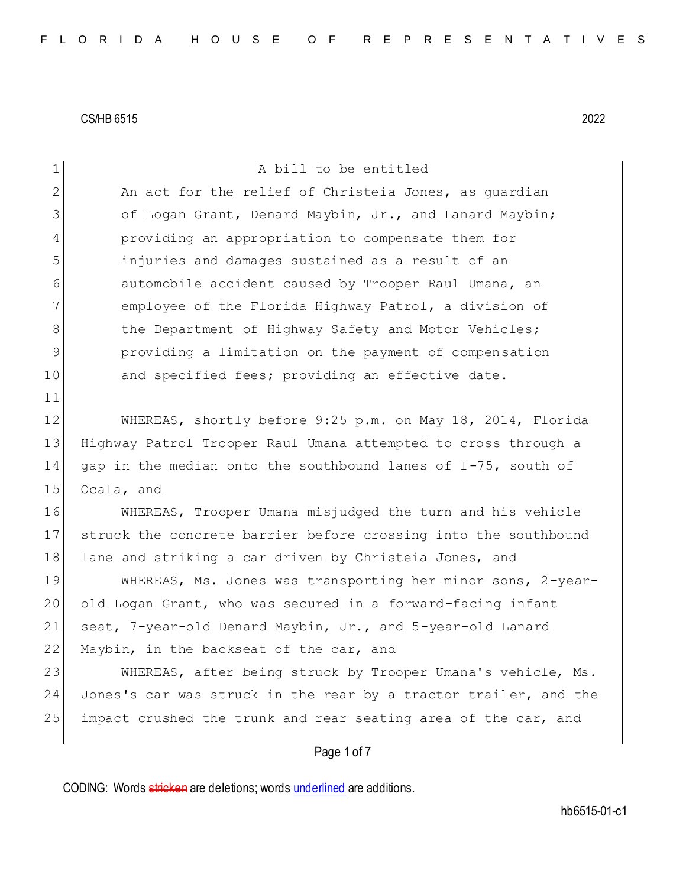| $\mathbf 1$    | A bill to be entitled                                            |
|----------------|------------------------------------------------------------------|
| $\mathbf{2}$   | An act for the relief of Christeia Jones, as quardian            |
| 3              | of Logan Grant, Denard Maybin, Jr., and Lanard Maybin;           |
| $\overline{4}$ | providing an appropriation to compensate them for                |
| 5              | injuries and damages sustained as a result of an                 |
| 6              | automobile accident caused by Trooper Raul Umana, an             |
| 7              | employee of the Florida Highway Patrol, a division of            |
| 8              | the Department of Highway Safety and Motor Vehicles;             |
| $\mathsf 9$    | providing a limitation on the payment of compensation            |
| 10             | and specified fees; providing an effective date.                 |
| 11             |                                                                  |
| 12             | WHEREAS, shortly before 9:25 p.m. on May 18, 2014, Florida       |
| 13             | Highway Patrol Trooper Raul Umana attempted to cross through a   |
| 14             | gap in the median onto the southbound lanes of I-75, south of    |
| 15             | Ocala, and                                                       |
| 16             | WHEREAS, Trooper Umana misjudged the turn and his vehicle        |
| 17             | struck the concrete barrier before crossing into the southbound  |
| 18             | lane and striking a car driven by Christeia Jones, and           |
| 19             | WHEREAS, Ms. Jones was transporting her minor sons, 2-year-      |
| 20             | old Logan Grant, who was secured in a forward-facing infant      |
| 21             | seat, 7-year-old Denard Maybin, Jr., and 5-year-old Lanard       |
| 22             | Maybin, in the backseat of the car, and                          |
| 23             | WHEREAS, after being struck by Trooper Umana's vehicle, Ms.      |
| 24             | Jones's car was struck in the rear by a tractor trailer, and the |
| 25             | impact crushed the trunk and rear seating area of the car, and   |
|                | Page 1 of 7                                                      |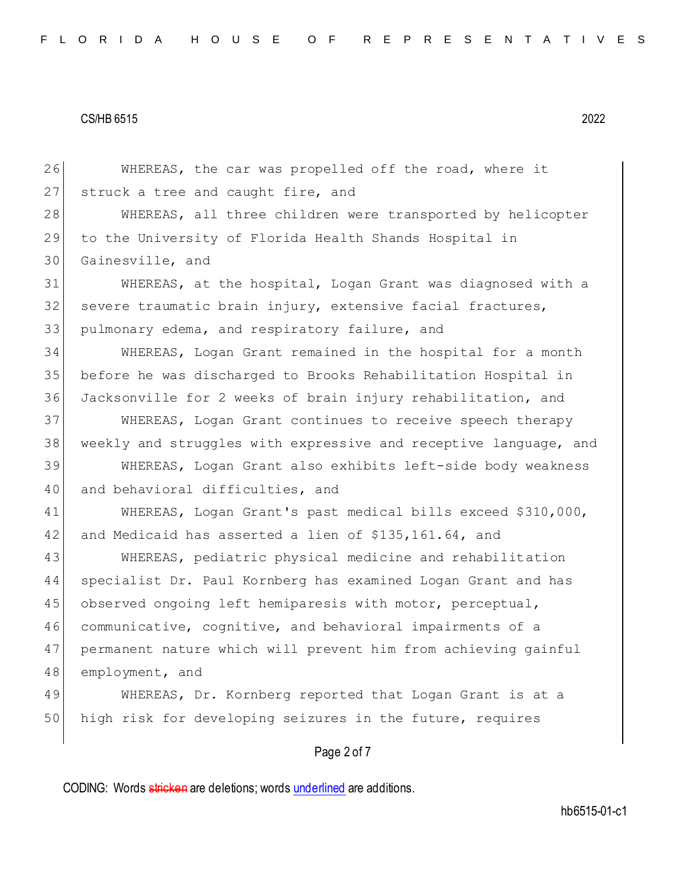26 WHEREAS, the car was propelled off the road, where it 27 struck a tree and caught fire, and 28 WHEREAS, all three children were transported by helicopter 29 to the University of Florida Health Shands Hospital in 30 Gainesville, and 31 WHEREAS, at the hospital, Logan Grant was diagnosed with a 32 severe traumatic brain injury, extensive facial fractures, 33 pulmonary edema, and respiratory failure, and 34 WHEREAS, Logan Grant remained in the hospital for a month 35 before he was discharged to Brooks Rehabilitation Hospital in 36 Jacksonville for 2 weeks of brain injury rehabilitation, and 37 WHEREAS, Logan Grant continues to receive speech therapy 38 weekly and struggles with expressive and receptive language, and 39 WHEREAS, Logan Grant also exhibits left-side body weakness 40 and behavioral difficulties, and 41 WHEREAS, Logan Grant's past medical bills exceed \$310,000, 42 and Medicaid has asserted a lien of \$135,161.64, and 43 WHEREAS, pediatric physical medicine and rehabilitation 44 specialist Dr. Paul Kornberg has examined Logan Grant and has 45 observed ongoing left hemiparesis with motor, perceptual, 46 communicative, cognitive, and behavioral impairments of a 47 permanent nature which will prevent him from achieving gainful 48 employment, and 49 WHEREAS, Dr. Kornberg reported that Logan Grant is at a 50 high risk for developing seizures in the future, requires

## Page 2 of 7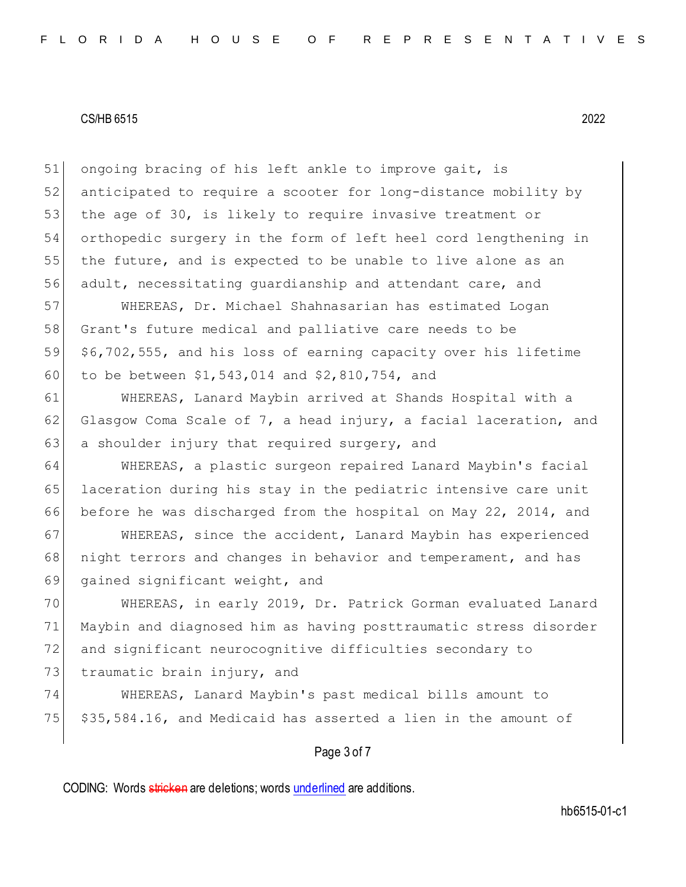51 ongoing bracing of his left ankle to improve gait, is 52 anticipated to require a scooter for long-distance mobility by 53 the age of 30, is likely to require invasive treatment or 54 orthopedic surgery in the form of left heel cord lengthening in 55 the future, and is expected to be unable to live alone as an 56 adult, necessitating guardianship and attendant care, and

 WHEREAS, Dr. Michael Shahnasarian has estimated Logan Grant's future medical and palliative care needs to be \$6,702,555, and his loss of earning capacity over his lifetime to be between \$1,543,014 and \$2,810,754, and

61 WHEREAS, Lanard Maybin arrived at Shands Hospital with a 62 Glasgow Coma Scale of 7, a head injury, a facial laceration, and 63 a shoulder injury that required surgery, and

64 WHEREAS, a plastic surgeon repaired Lanard Maybin's facial 65 laceration during his stay in the pediatric intensive care unit 66 before he was discharged from the hospital on May 22, 2014, and

67 | WHEREAS, since the accident, Lanard Maybin has experienced 68 | night terrors and changes in behavior and temperament, and has 69 gained significant weight, and

 WHEREAS, in early 2019, Dr. Patrick Gorman evaluated Lanard Maybin and diagnosed him as having posttraumatic stress disorder and significant neurocognitive difficulties secondary to 73 traumatic brain injury, and

74 WHEREAS, Lanard Maybin's past medical bills amount to  $75$   $\frac{535}{584.16}$ , and Medicaid has asserted a lien in the amount of

## Page 3 of 7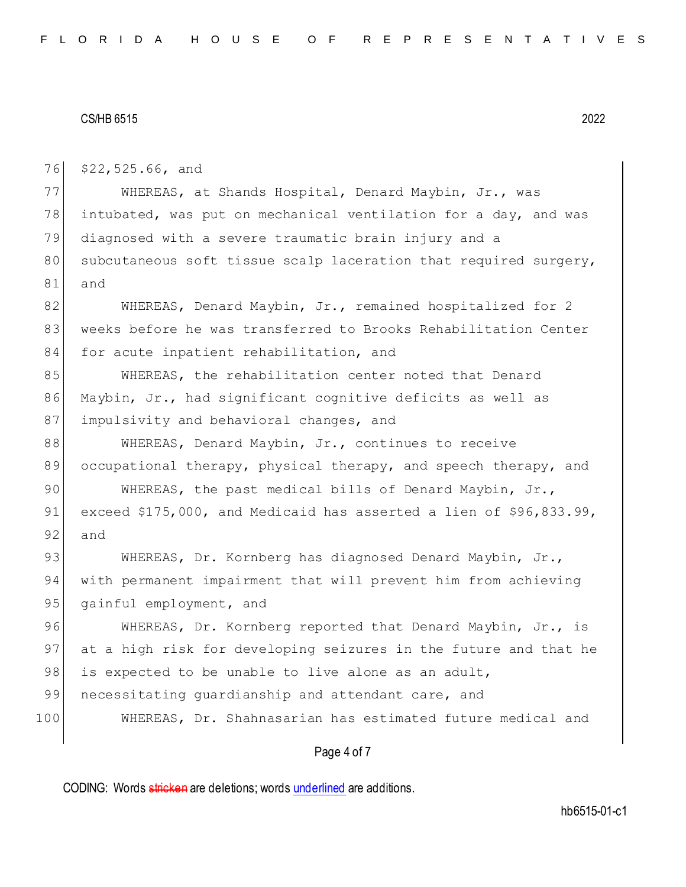76 \$22,525.66, and

77 WHEREAS, at Shands Hospital, Denard Maybin, Jr., was 78 intubated, was put on mechanical ventilation for a day, and was 79 diagnosed with a severe traumatic brain injury and a 80 subcutaneous soft tissue scalp laceration that required surgery, 81 and

82 WHEREAS, Denard Maybin, Jr., remained hospitalized for 2 83 weeks before he was transferred to Brooks Rehabilitation Center 84 for acute inpatient rehabilitation, and

85 WHEREAS, the rehabilitation center noted that Denard 86 Maybin, Jr., had significant cognitive deficits as well as 87 impulsivity and behavioral changes, and

88 WHEREAS, Denard Maybin, Jr., continues to receive 89 occupational therapy, physical therapy, and speech therapy, and

90 WHEREAS, the past medical bills of Denard Maybin, Jr., 91 exceed \$175,000, and Medicaid has asserted a lien of \$96,833.99, 92 and

93 WHEREAS, Dr. Kornberg has diagnosed Denard Maybin, Jr., 94 with permanent impairment that will prevent him from achieving 95 gainful employment, and

96 WHEREAS, Dr. Kornberg reported that Denard Maybin, Jr., is 97 at a high risk for developing seizures in the future and that he 98 is expected to be unable to live alone as an adult,

99 necessitating quardianship and attendant care, and

100 WHEREAS, Dr. Shahnasarian has estimated future medical and

## Page 4 of 7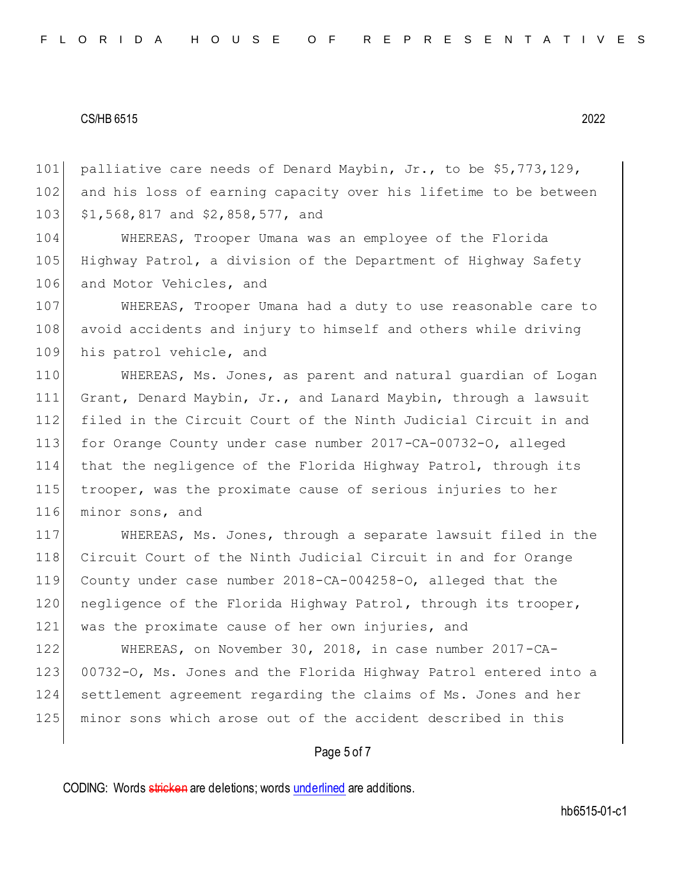101 palliative care needs of Denard Maybin, Jr., to be \$5,773,129, 102 and his loss of earning capacity over his lifetime to be between 103 \$1,568,817 and \$2,858,577, and

104 WHEREAS, Trooper Umana was an employee of the Florida 105 Highway Patrol, a division of the Department of Highway Safety 106 and Motor Vehicles, and

107 WHEREAS, Trooper Umana had a duty to use reasonable care to 108 avoid accidents and injury to himself and others while driving 109 his patrol vehicle, and

 WHEREAS, Ms. Jones, as parent and natural guardian of Logan Grant, Denard Maybin, Jr., and Lanard Maybin, through a lawsuit filed in the Circuit Court of the Ninth Judicial Circuit in and for Orange County under case number 2017-CA-00732-O, alleged that the negligence of the Florida Highway Patrol, through its trooper, was the proximate cause of serious injuries to her 116 minor sons, and

117 WHEREAS, Ms. Jones, through a separate lawsuit filed in the 118 Circuit Court of the Ninth Judicial Circuit in and for Orange 119 County under case number 2018-CA-004258-O, alleged that the 120 negligence of the Florida Highway Patrol, through its trooper, 121 was the proximate cause of her own injuries, and

 WHEREAS, on November 30, 2018, in case number 2017-CA-123 00732-O, Ms. Jones and the Florida Highway Patrol entered into a settlement agreement regarding the claims of Ms. Jones and her minor sons which arose out of the accident described in this

## Page 5 of 7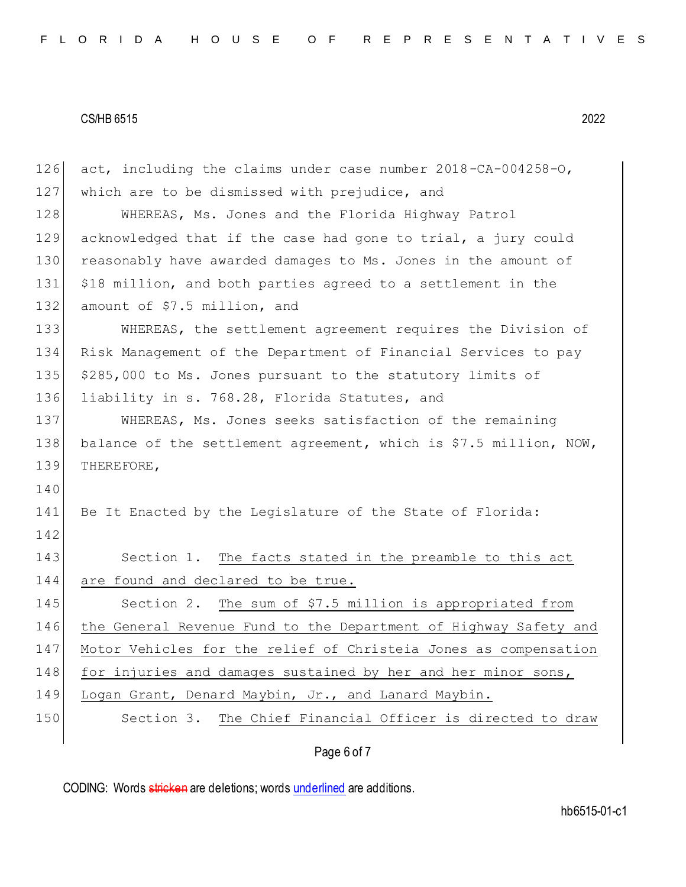Page 6 of 7 126 act, including the claims under case number 2018-CA-004258-O, 127 which are to be dismissed with prejudice, and 128 WHEREAS, Ms. Jones and the Florida Highway Patrol 129 acknowledged that if the case had gone to trial, a jury could 130 reasonably have awarded damages to Ms. Jones in the amount of 131 \$18 million, and both parties agreed to a settlement in the 132 amount of \$7.5 million, and 133 WHEREAS, the settlement agreement requires the Division of 134 Risk Management of the Department of Financial Services to pay 135 \$285,000 to Ms. Jones pursuant to the statutory limits of 136 liability in s. 768.28, Florida Statutes, and 137 WHEREAS, Ms. Jones seeks satisfaction of the remaining 138 balance of the settlement agreement, which is \$7.5 million, NOW, 139 THEREFORE, 140 141 Be It Enacted by the Legislature of the State of Florida: 142 143 Section 1. The facts stated in the preamble to this act 144 are found and declared to be true. 145 Section 2. The sum of \$7.5 million is appropriated from 146 the General Revenue Fund to the Department of Highway Safety and 147 Motor Vehicles for the relief of Christeia Jones as compensation 148 for injuries and damages sustained by her and her minor sons, 149 Logan Grant, Denard Maybin, Jr., and Lanard Maybin. 150 Section 3. The Chief Financial Officer is directed to draw

CODING: Words stricken are deletions; words underlined are additions.

hb6515-01-c1